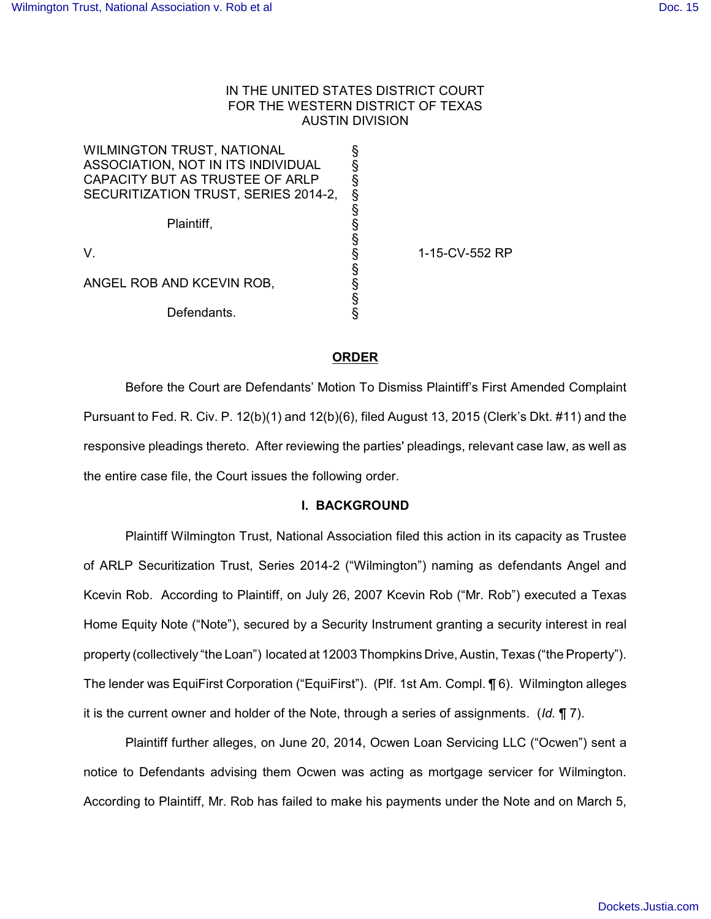# IN THE UNITED STATES DISTRICT COURT FOR THE WESTERN DISTRICT OF TEXAS AUSTIN DIVISION

| <b>WILMINGTON TRUST, NATIONAL</b>    |                |
|--------------------------------------|----------------|
| ASSOCIATION, NOT IN ITS INDIVIDUAL   |                |
| CAPACITY BUT AS TRUSTEE OF ARLP      |                |
| SECURITIZATION TRUST, SERIES 2014-2, |                |
|                                      |                |
| Plaintiff,                           |                |
|                                      |                |
| V.                                   | 1-15-CV-552 RP |
|                                      |                |
| ANGEL ROB AND KCEVIN ROB,            |                |
|                                      |                |
| Defendants.                          |                |

# **ORDER**

Before the Court are Defendants' Motion To Dismiss Plaintiff's First Amended Complaint Pursuant to Fed. R. Civ. P. 12(b)(1) and 12(b)(6), filed August 13, 2015 (Clerk's Dkt. #11) and the responsive pleadings thereto. After reviewing the parties' pleadings, relevant case law, as well as the entire case file, the Court issues the following order.

# **I. BACKGROUND**

Plaintiff Wilmington Trust, National Association filed this action in its capacity as Trustee of ARLP Securitization Trust, Series 2014-2 ("Wilmington") naming as defendants Angel and Kcevin Rob. According to Plaintiff, on July 26, 2007 Kcevin Rob ("Mr. Rob") executed a Texas Home Equity Note ("Note"), secured by a Security Instrument granting a security interest in real property (collectively "the Loan") located at 12003 Thompkins Drive, Austin, Texas ("the Property"). The lender was EquiFirst Corporation ("EquiFirst"). (Plf. 1st Am. Compl. ¶ 6). Wilmington alleges it is the current owner and holder of the Note, through a series of assignments. (*Id.* ¶ 7).

Plaintiff further alleges, on June 20, 2014, Ocwen Loan Servicing LLC ("Ocwen") sent a notice to Defendants advising them Ocwen was acting as mortgage servicer for Wilmington. According to Plaintiff, Mr. Rob has failed to make his payments under the Note and on March 5,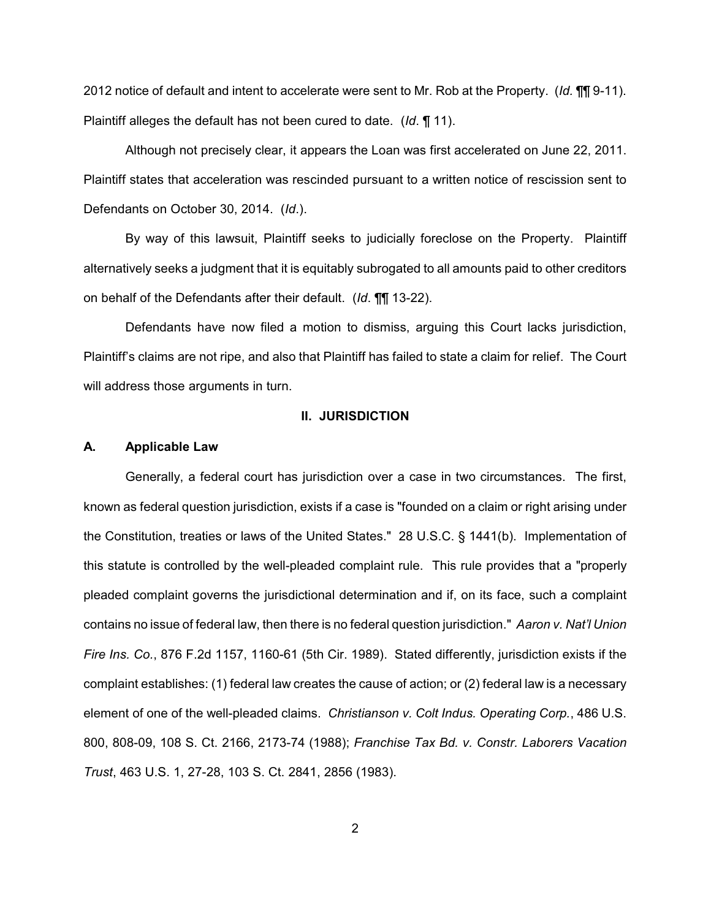2012 notice of default and intent to accelerate were sent to Mr. Rob at the Property. (*Id.* ¶¶ 9-11). Plaintiff alleges the default has not been cured to date. (*Id*. ¶ 11).

Although not precisely clear, it appears the Loan was first accelerated on June 22, 2011. Plaintiff states that acceleration was rescinded pursuant to a written notice of rescission sent to Defendants on October 30, 2014. (*Id*.).

By way of this lawsuit, Plaintiff seeks to judicially foreclose on the Property. Plaintiff alternatively seeks a judgment that it is equitably subrogated to all amounts paid to other creditors on behalf of the Defendants after their default. (*Id*. ¶¶ 13-22).

Defendants have now filed a motion to dismiss, arguing this Court lacks jurisdiction, Plaintiff's claims are not ripe, and also that Plaintiff has failed to state a claim for relief. The Court will address those arguments in turn.

### **II. JURISDICTION**

### **A. Applicable Law**

Generally, a federal court has jurisdiction over a case in two circumstances. The first, known as federal question jurisdiction, exists if a case is "founded on a claim or right arising under the Constitution, treaties or laws of the United States." 28 U.S.C. § 1441(b). Implementation of this statute is controlled by the well-pleaded complaint rule. This rule provides that a "properly pleaded complaint governs the jurisdictional determination and if, on its face, such a complaint contains no issue of federal law, then there is no federal question jurisdiction." *Aaron v. Nat'l Union Fire Ins. Co.*, 876 F.2d 1157, 1160-61 (5th Cir. 1989). Stated differently, jurisdiction exists if the complaint establishes: (1) federal law creates the cause of action; or (2) federal law is a necessary element of one of the well-pleaded claims. *Christianson v. Colt Indus. Operating Corp.*, 486 U.S. 800, 808-09, 108 S. Ct. 2166, 2173-74 (1988); *Franchise Tax Bd. v. Constr. Laborers Vacation Trust*, 463 U.S. 1, 27-28, 103 S. Ct. 2841, 2856 (1983).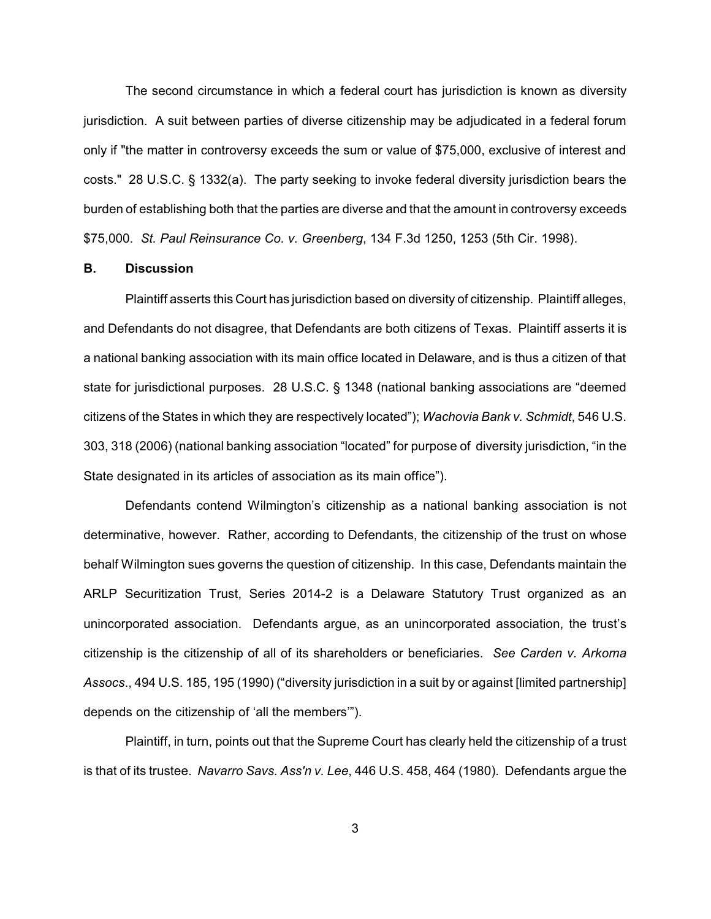The second circumstance in which a federal court has jurisdiction is known as diversity jurisdiction. A suit between parties of diverse citizenship may be adjudicated in a federal forum only if "the matter in controversy exceeds the sum or value of \$75,000, exclusive of interest and costs." 28 U.S.C. § 1332(a). The party seeking to invoke federal diversity jurisdiction bears the burden of establishing both that the parties are diverse and that the amount in controversy exceeds \$75,000. *St. Paul Reinsurance Co. v. Greenberg*, 134 F.3d 1250, 1253 (5th Cir. 1998).

### **B. Discussion**

Plaintiff asserts this Court has jurisdiction based on diversity of citizenship. Plaintiff alleges, and Defendants do not disagree, that Defendants are both citizens of Texas. Plaintiff asserts it is a national banking association with its main office located in Delaware, and is thus a citizen of that state for jurisdictional purposes. 28 U.S.C. § 1348 (national banking associations are "deemed citizens of the States in which they are respectively located"); *Wachovia Bank v. Schmidt*, 546 U.S. 303, 318 (2006) (national banking association "located" for purpose of diversity jurisdiction, "in the State designated in its articles of association as its main office").

Defendants contend Wilmington's citizenship as a national banking association is not determinative, however. Rather, according to Defendants, the citizenship of the trust on whose behalf Wilmington sues governs the question of citizenship. In this case, Defendants maintain the ARLP Securitization Trust, Series 2014-2 is a Delaware Statutory Trust organized as an unincorporated association. Defendants argue, as an unincorporated association, the trust's citizenship is the citizenship of all of its shareholders or beneficiaries. *See Carden v. Arkoma Assocs*., 494 U.S. 185, 195 (1990) ("diversity jurisdiction in a suit by or against [limited partnership] depends on the citizenship of 'all the members'").

Plaintiff, in turn, points out that the Supreme Court has clearly held the citizenship of a trust is that of its trustee. *Navarro Savs. Ass'n v. Lee*, 446 U.S. 458, 464 (1980). Defendants argue the

3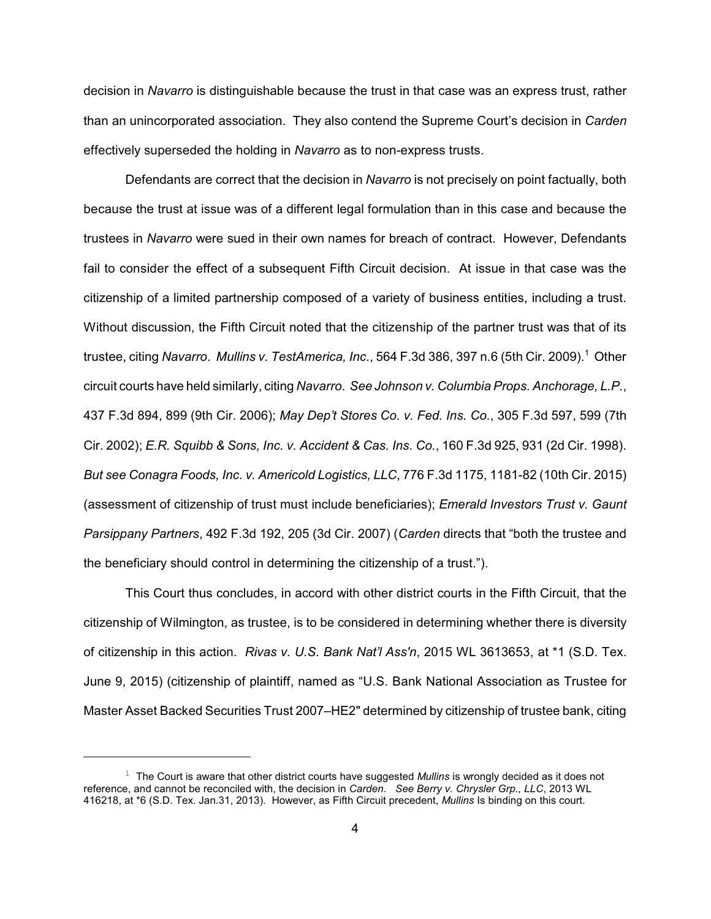decision in *Navarro* is distinguishable because the trust in that case was an express trust, rather than an unincorporated association. They also contend the Supreme Court's decision in *Carden* effectively superseded the holding in *Navarro* as to non-express trusts.

Defendants are correct that the decision in *Navarro* is not precisely on point factually, both because the trust at issue was of a different legal formulation than in this case and because the trustees in *Navarro* were sued in their own names for breach of contract. However, Defendants fail to consider the effect of a subsequent Fifth Circuit decision. At issue in that case was the citizenship of a limited partnership composed of a variety of business entities, including a trust. Without discussion, the Fifth Circuit noted that the citizenship of the partner trust was that of its trustee, citing *Navarro. Mullins v. TestAmerica, Inc.*, 564 F.3d 386, 397 n.6 (5th Cir. 2009).<sup>1</sup> Other circuit courts have held similarly, citing *Navarro*. *See Johnson v. Columbia Props. Anchorage, L.P.*, 437 F.3d 894, 899 (9th Cir. 2006); *May Dep't Stores Co. v. Fed. Ins. Co.*, 305 F.3d 597, 599 (7th Cir. 2002); *E.R. Squibb & Sons, Inc. v. Accident & Cas. Ins. Co.*, 160 F.3d 925, 931 (2d Cir. 1998). *But see Conagra Foods, Inc. v. Americold Logistics, LLC*, 776 F.3d 1175, 1181-82 (10th Cir. 2015) (assessment of citizenship of trust must include beneficiaries); *Emerald Investors Trust v. Gaunt Parsippany Partners*, 492 F.3d 192, 205 (3d Cir. 2007) (*Carden* directs that "both the trustee and the beneficiary should control in determining the citizenship of a trust.").

This Court thus concludes, in accord with other district courts in the Fifth Circuit, that the citizenship of Wilmington, as trustee, is to be considered in determining whether there is diversity of citizenship in this action. *Rivas v. U.S. Bank Nat'l Ass'n*, 2015 WL 3613653, at \*1 (S.D. Tex. June 9, 2015) (citizenship of plaintiff, named as "U.S. Bank National Association as Trustee for Master Asset Backed Securities Trust 2007–HE2" determined by citizenship of trustee bank, citing

 $1$  The Court is aware that other district courts have suggested *Mullins* is wrongly decided as it does not reference, and cannot be reconciled with, the decision in *Carden*. *See Berry v. Chrysler Grp., LLC*, 2013 WL 416218, at \*6 (S.D. Tex. Jan.31, 2013). However, as Fifth Circuit precedent, *Mullins* Is binding on this court.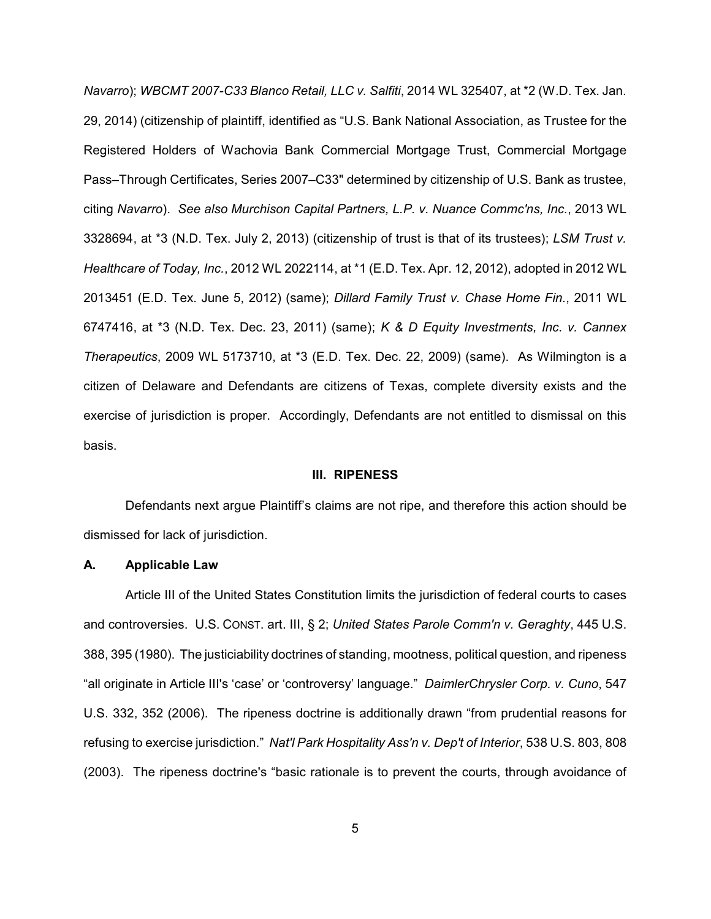*Navarro*); *WBCMT 2007-C33 Blanco Retail, LLC v. Salfiti*, 2014 WL 325407, at \*2 (W.D. Tex. Jan. 29, 2014) (citizenship of plaintiff, identified as "U.S. Bank National Association, as Trustee for the Registered Holders of Wachovia Bank Commercial Mortgage Trust, Commercial Mortgage Pass–Through Certificates, Series 2007–C33" determined by citizenship of U.S. Bank as trustee, citing *Navarro*). *See also Murchison Capital Partners, L.P. v. Nuance Commc'ns, Inc.*, 2013 WL 3328694, at \*3 (N.D. Tex. July 2, 2013) (citizenship of trust is that of its trustees); *LSM Trust v. Healthcare of Today, Inc.*, 2012 WL 2022114, at \*1 (E.D. Tex. Apr. 12, 2012), adopted in 2012 WL 2013451 (E.D. Tex. June 5, 2012) (same); *Dillard Family Trust v. Chase Home Fin.*, 2011 WL 6747416, at \*3 (N.D. Tex. Dec. 23, 2011) (same); *K & D Equity Investments, Inc. v. Cannex Therapeutics*, 2009 WL 5173710, at \*3 (E.D. Tex. Dec. 22, 2009) (same). As Wilmington is a citizen of Delaware and Defendants are citizens of Texas, complete diversity exists and the exercise of jurisdiction is proper. Accordingly, Defendants are not entitled to dismissal on this basis.

#### **III. RIPENESS**

Defendants next argue Plaintiff's claims are not ripe, and therefore this action should be dismissed for lack of jurisdiction.

#### **A. Applicable Law**

Article III of the United States Constitution limits the jurisdiction of federal courts to cases and controversies. U.S. CONST. art. III, § 2; *United States Parole Comm'n v. Geraghty*, 445 U.S. 388, 395 (1980). The justiciability doctrines of standing, mootness, political question, and ripeness "all originate in Article III's 'case' or 'controversy' language." *DaimlerChrysler Corp. v. Cuno*, 547 U.S. 332, 352 (2006). The ripeness doctrine is additionally drawn "from prudential reasons for refusing to exercise jurisdiction." *Nat'l Park Hospitality Ass'n v. Dep't of Interior*, 538 U.S. 803, 808 (2003). The ripeness doctrine's "basic rationale is to prevent the courts, through avoidance of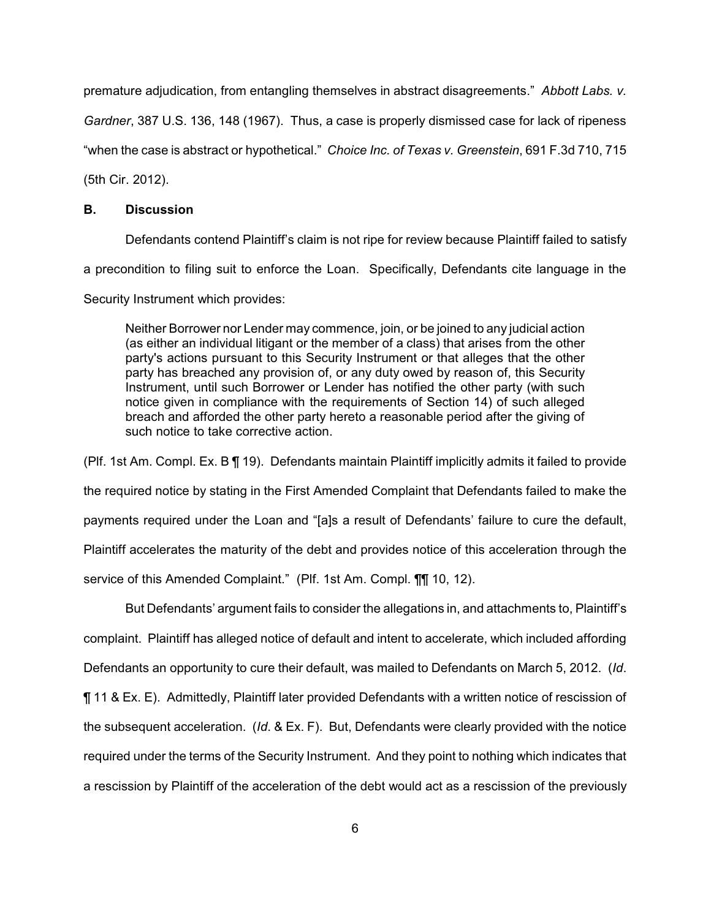premature adjudication, from entangling themselves in abstract disagreements." *Abbott Labs. v.*

*Gardner*, 387 U.S. 136, 148 (1967). Thus, a case is properly dismissed case for lack of ripeness

"when the case is abstract or hypothetical." *Choice Inc. of Texas v. Greenstein*, 691 F.3d 710, 715

(5th Cir. 2012).

## **B. Discussion**

Defendants contend Plaintiff's claim is not ripe for review because Plaintiff failed to satisfy a precondition to filing suit to enforce the Loan. Specifically, Defendants cite language in the Security Instrument which provides:

Neither Borrower nor Lender may commence, join, or be joined to any judicial action (as either an individual litigant or the member of a class) that arises from the other party's actions pursuant to this Security Instrument or that alleges that the other party has breached any provision of, or any duty owed by reason of, this Security Instrument, until such Borrower or Lender has notified the other party (with such notice given in compliance with the requirements of Section 14) of such alleged breach and afforded the other party hereto a reasonable period after the giving of such notice to take corrective action.

(Plf. 1st Am. Compl. Ex. B ¶ 19). Defendants maintain Plaintiff implicitly admits it failed to provide the required notice by stating in the First Amended Complaint that Defendants failed to make the payments required under the Loan and "[a]s a result of Defendants' failure to cure the default, Plaintiff accelerates the maturity of the debt and provides notice of this acceleration through the service of this Amended Complaint." (Plf. 1st Am. Compl. **[1]** 10, 12).

But Defendants' argument fails to consider the allegations in, and attachments to, Plaintiff's complaint. Plaintiff has alleged notice of default and intent to accelerate, which included affording Defendants an opportunity to cure their default, was mailed to Defendants on March 5, 2012. (*Id*. ¶ 11 & Ex. E). Admittedly, Plaintiff later provided Defendants with a written notice of rescission of the subsequent acceleration. (*Id*. & Ex. F). But, Defendants were clearly provided with the notice required under the terms of the Security Instrument. And they point to nothing which indicates that a rescission by Plaintiff of the acceleration of the debt would act as a rescission of the previously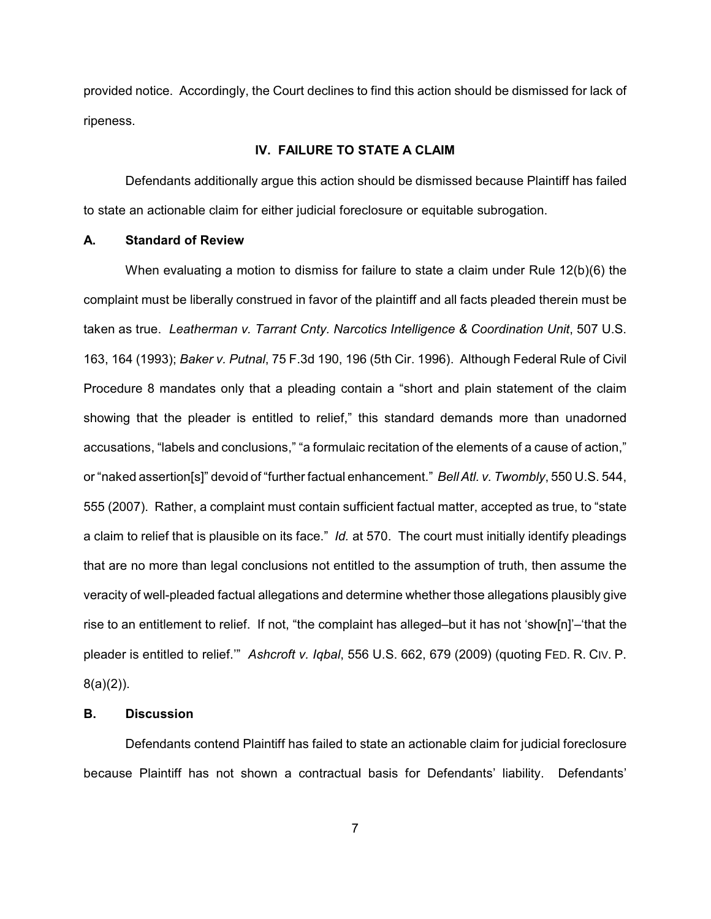provided notice. Accordingly, the Court declines to find this action should be dismissed for lack of ripeness.

### **IV. FAILURE TO STATE A CLAIM**

Defendants additionally argue this action should be dismissed because Plaintiff has failed to state an actionable claim for either judicial foreclosure or equitable subrogation.

#### **A. Standard of Review**

When evaluating a motion to dismiss for failure to state a claim under Rule 12(b)(6) the complaint must be liberally construed in favor of the plaintiff and all facts pleaded therein must be taken as true. *Leatherman v. Tarrant Cnty. Narcotics Intelligence & Coordination Unit*, 507 U.S. 163, 164 (1993); *Baker v. Putnal*, 75 F.3d 190, 196 (5th Cir. 1996). Although Federal Rule of Civil Procedure 8 mandates only that a pleading contain a "short and plain statement of the claim showing that the pleader is entitled to relief," this standard demands more than unadorned accusations, "labels and conclusions," "a formulaic recitation of the elements of a cause of action," or "naked assertion[s]" devoid of "further factual enhancement." *Bell Atl. v. Twombly*, 550 U.S. 544, 555 (2007). Rather, a complaint must contain sufficient factual matter, accepted as true, to "state a claim to relief that is plausible on its face." *Id.* at 570. The court must initially identify pleadings that are no more than legal conclusions not entitled to the assumption of truth, then assume the veracity of well-pleaded factual allegations and determine whether those allegations plausibly give rise to an entitlement to relief. If not, "the complaint has alleged–but it has not 'show[n]'–'that the pleader is entitled to relief.'" *Ashcroft v. Iqbal*, 556 U.S. 662, 679 (2009) (quoting FED. R. CIV. P. 8(a)(2)).

### **B. Discussion**

Defendants contend Plaintiff has failed to state an actionable claim for judicial foreclosure because Plaintiff has not shown a contractual basis for Defendants' liability. Defendants'

7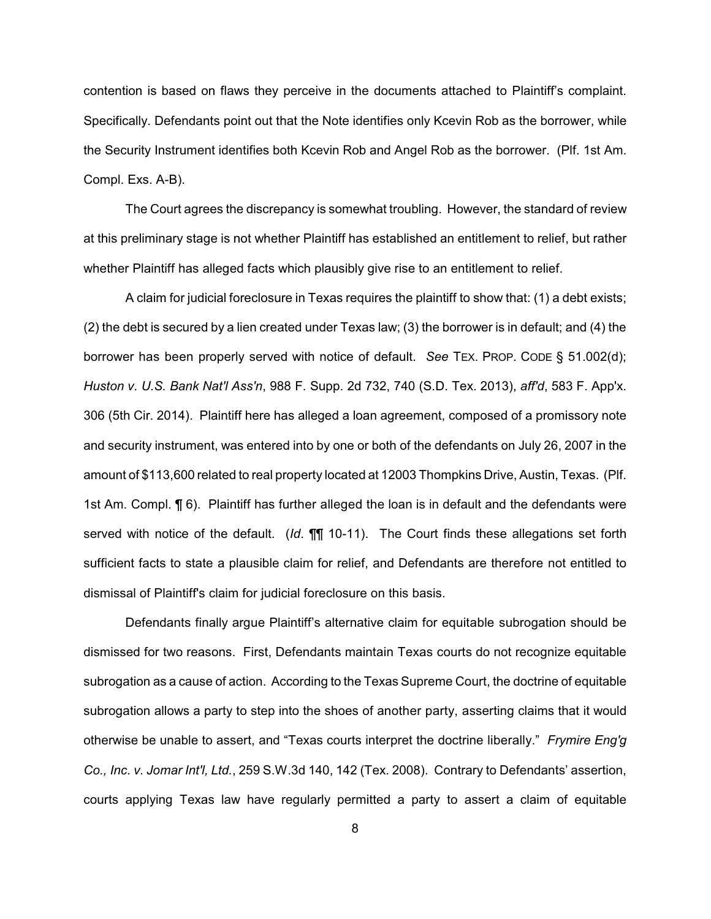contention is based on flaws they perceive in the documents attached to Plaintiff's complaint. Specifically. Defendants point out that the Note identifies only Kcevin Rob as the borrower, while the Security Instrument identifies both Kcevin Rob and Angel Rob as the borrower. (Plf. 1st Am. Compl. Exs. A-B).

The Court agrees the discrepancy is somewhat troubling. However, the standard of review at this preliminary stage is not whether Plaintiff has established an entitlement to relief, but rather whether Plaintiff has alleged facts which plausibly give rise to an entitlement to relief.

A claim for judicial foreclosure in Texas requires the plaintiff to show that: (1) a debt exists; (2) the debt is secured by a lien created under Texas law; (3) the borrower is in default; and (4) the borrower has been properly served with notice of default. *See* TEX. PROP. CODE § 51.002(d); *Huston v. U.S. Bank Nat'l Ass'n*, 988 F. Supp. 2d 732, 740 (S.D. Tex. 2013), *aff'd*, 583 F. App'x. 306 (5th Cir. 2014). Plaintiff here has alleged a loan agreement, composed of a promissory note and security instrument, was entered into by one or both of the defendants on July 26, 2007 in the amount of \$113,600 related to real property located at 12003 Thompkins Drive, Austin, Texas. (Plf. 1st Am. Compl. ¶ 6). Plaintiff has further alleged the loan is in default and the defendants were served with notice of the default. (*Id*. ¶¶ 10-11). The Court finds these allegations set forth sufficient facts to state a plausible claim for relief, and Defendants are therefore not entitled to dismissal of Plaintiff's claim for judicial foreclosure on this basis.

Defendants finally argue Plaintiff's alternative claim for equitable subrogation should be dismissed for two reasons. First, Defendants maintain Texas courts do not recognize equitable subrogation as a cause of action. According to the Texas Supreme Court, the doctrine of equitable subrogation allows a party to step into the shoes of another party, asserting claims that it would otherwise be unable to assert, and "Texas courts interpret the doctrine liberally." *Frymire Eng'g Co., Inc. v. Jomar Int'l, Ltd.*, 259 S.W.3d 140, 142 (Tex. 2008). Contrary to Defendants' assertion, courts applying Texas law have regularly permitted a party to assert a claim of equitable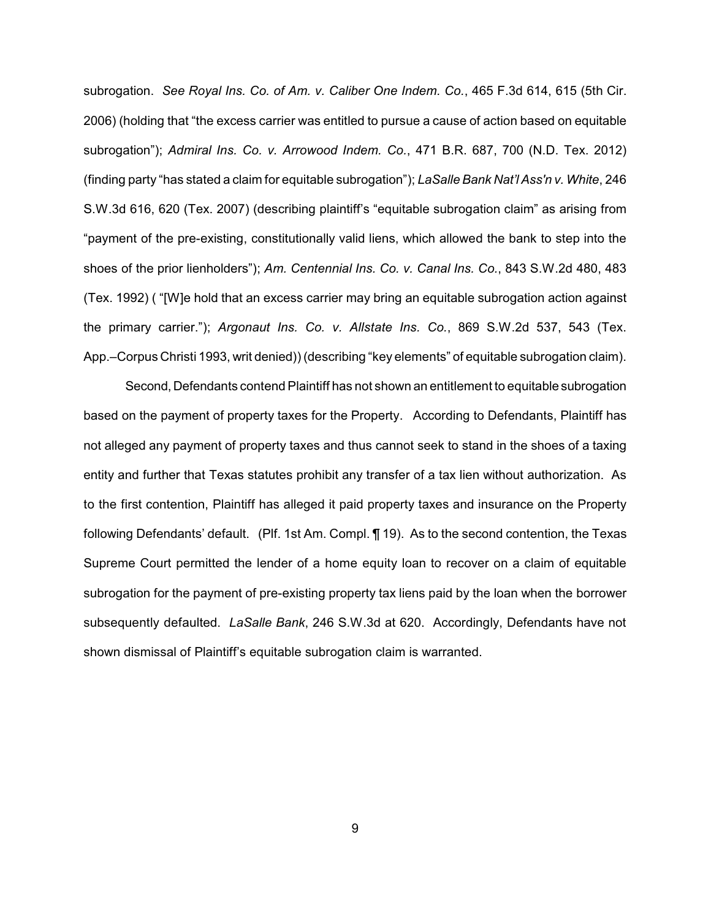subrogation. *See Royal Ins. Co. of Am. v. Caliber One Indem. Co.*, 465 F.3d 614, 615 (5th Cir. 2006) (holding that "the excess carrier was entitled to pursue a cause of action based on equitable subrogation"); *Admiral Ins. Co. v. Arrowood Indem. Co.*, 471 B.R. 687, 700 (N.D. Tex. 2012) (finding party "has stated a claim for equitable subrogation"); *LaSalle Bank Nat'l Ass'n v. White*, 246 S.W.3d 616, 620 (Tex. 2007) (describing plaintiff's "equitable subrogation claim" as arising from "payment of the pre-existing, constitutionally valid liens, which allowed the bank to step into the shoes of the prior lienholders"); *Am. Centennial Ins. Co. v. Canal Ins. Co.*, 843 S.W.2d 480, 483 (Tex. 1992) ( "[W]e hold that an excess carrier may bring an equitable subrogation action against the primary carrier."); *Argonaut Ins. Co. v. Allstate Ins. Co.*, 869 S.W.2d 537, 543 (Tex. App.–Corpus Christi 1993, writ denied)) (describing "key elements" of equitable subrogation claim).

Second, Defendants contend Plaintiff has not shown an entitlement to equitable subrogation based on the payment of property taxes for the Property. According to Defendants, Plaintiff has not alleged any payment of property taxes and thus cannot seek to stand in the shoes of a taxing entity and further that Texas statutes prohibit any transfer of a tax lien without authorization. As to the first contention, Plaintiff has alleged it paid property taxes and insurance on the Property following Defendants' default. (Plf. 1st Am. Compl. ¶ 19). As to the second contention, the Texas Supreme Court permitted the lender of a home equity loan to recover on a claim of equitable subrogation for the payment of pre-existing property tax liens paid by the loan when the borrower subsequently defaulted. *LaSalle Bank*, 246 S.W.3d at 620. Accordingly, Defendants have not shown dismissal of Plaintiff's equitable subrogation claim is warranted.